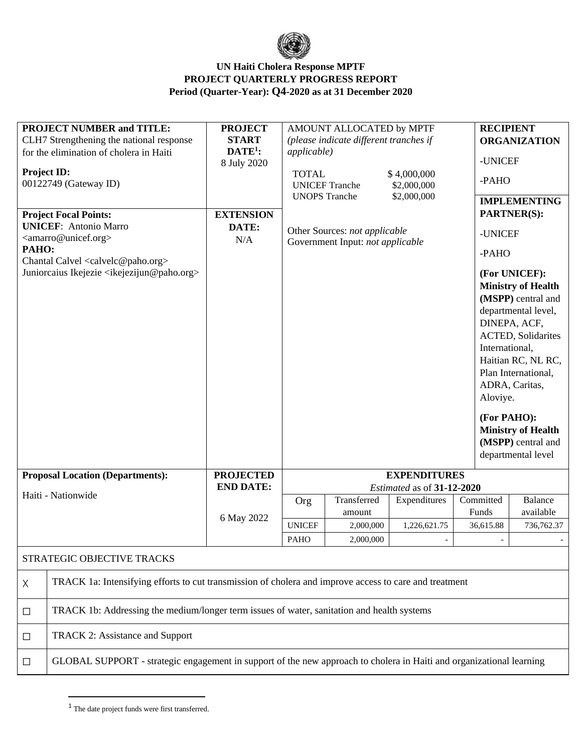

| <b>PROJECT NUMBER and TITLE:</b><br>CLH7 Strengthening the national response<br>for the elimination of cholera in Haiti<br><b>Project ID:</b><br>00122749 (Gateway ID)<br><b>Project Focal Points:</b><br><b>UNICEF:</b> Antonio Marro<br><amarro@unicef.org><br/>PAHO:<br/>Chantal Calvel <calvelc@paho.org><br/>Juniorcaius Ikejezie <ikejezijun@paho.org></ikejezijun@paho.org></calvelc@paho.org></amarro@unicef.org> |                                                                                                                      | <b>PROJECT</b><br><b>START</b><br>$DATE1$ :<br>8 July 2020<br><b>EXTENSION</b><br>DATE:<br>N/A | AMOUNT ALLOCATED by MPTF<br>(please indicate different tranches if<br><i>applicable</i> )<br><b>TOTAL</b><br>\$4,000,000<br><b>UNICEF Tranche</b><br>\$2,000,000<br><b>UNOPS</b> Tranche<br>\$2,000,000<br>Other Sources: not applicable<br>Government Input: not applicable |                       |              |                    | <b>RECIPIENT</b><br><b>ORGANIZATION</b><br>-UNICEF<br>-PAHO<br><b>IMPLEMENTING</b><br><b>PARTNER(S):</b><br>-UNICEF<br>-PAHO<br>(For UNICEF):<br><b>Ministry of Health</b><br>(MSPP) central and<br>departmental level,<br>DINEPA, ACF,<br><b>ACTED, Solidarites</b><br>International,<br>Haitian RC, NL RC,<br>Plan International,<br>ADRA, Caritas,<br>Aloviye.<br>(For PAHO):<br><b>Ministry of Health</b><br>(MSPP) central and<br>departmental level |  |
|---------------------------------------------------------------------------------------------------------------------------------------------------------------------------------------------------------------------------------------------------------------------------------------------------------------------------------------------------------------------------------------------------------------------------|----------------------------------------------------------------------------------------------------------------------|------------------------------------------------------------------------------------------------|------------------------------------------------------------------------------------------------------------------------------------------------------------------------------------------------------------------------------------------------------------------------------|-----------------------|--------------|--------------------|-----------------------------------------------------------------------------------------------------------------------------------------------------------------------------------------------------------------------------------------------------------------------------------------------------------------------------------------------------------------------------------------------------------------------------------------------------------|--|
|                                                                                                                                                                                                                                                                                                                                                                                                                           |                                                                                                                      |                                                                                                |                                                                                                                                                                                                                                                                              |                       |              |                    |                                                                                                                                                                                                                                                                                                                                                                                                                                                           |  |
| <b>Proposal Location (Departments):</b>                                                                                                                                                                                                                                                                                                                                                                                   |                                                                                                                      | <b>PROJECTED</b>                                                                               | <b>EXPENDITURES</b>                                                                                                                                                                                                                                                          |                       |              |                    |                                                                                                                                                                                                                                                                                                                                                                                                                                                           |  |
|                                                                                                                                                                                                                                                                                                                                                                                                                           | Haiti - Nationwide                                                                                                   | <b>END DATE:</b>                                                                               | Estimated as of 31-12-2020                                                                                                                                                                                                                                                   |                       |              |                    |                                                                                                                                                                                                                                                                                                                                                                                                                                                           |  |
|                                                                                                                                                                                                                                                                                                                                                                                                                           |                                                                                                                      | 6 May 2022                                                                                     | Org                                                                                                                                                                                                                                                                          | Transferred<br>amount | Expenditures | Committed<br>Funds | <b>Balance</b><br>available                                                                                                                                                                                                                                                                                                                                                                                                                               |  |
|                                                                                                                                                                                                                                                                                                                                                                                                                           |                                                                                                                      |                                                                                                | <b>UNICEF</b>                                                                                                                                                                                                                                                                | 2,000,000             | 1,226,621.75 | 36,615.88          | 736,762.37                                                                                                                                                                                                                                                                                                                                                                                                                                                |  |
|                                                                                                                                                                                                                                                                                                                                                                                                                           |                                                                                                                      |                                                                                                | <b>PAHO</b>                                                                                                                                                                                                                                                                  | 2,000,000             |              |                    |                                                                                                                                                                                                                                                                                                                                                                                                                                                           |  |
|                                                                                                                                                                                                                                                                                                                                                                                                                           | STRATEGIC OBJECTIVE TRACKS                                                                                           |                                                                                                |                                                                                                                                                                                                                                                                              |                       |              |                    |                                                                                                                                                                                                                                                                                                                                                                                                                                                           |  |
| Χ                                                                                                                                                                                                                                                                                                                                                                                                                         | TRACK 1a: Intensifying efforts to cut transmission of cholera and improve access to care and treatment               |                                                                                                |                                                                                                                                                                                                                                                                              |                       |              |                    |                                                                                                                                                                                                                                                                                                                                                                                                                                                           |  |
| $\Box$                                                                                                                                                                                                                                                                                                                                                                                                                    | TRACK 1b: Addressing the medium/longer term issues of water, sanitation and health systems                           |                                                                                                |                                                                                                                                                                                                                                                                              |                       |              |                    |                                                                                                                                                                                                                                                                                                                                                                                                                                                           |  |
| $\Box$                                                                                                                                                                                                                                                                                                                                                                                                                    | <b>TRACK 2: Assistance and Support</b>                                                                               |                                                                                                |                                                                                                                                                                                                                                                                              |                       |              |                    |                                                                                                                                                                                                                                                                                                                                                                                                                                                           |  |
| $\Box$                                                                                                                                                                                                                                                                                                                                                                                                                    | GLOBAL SUPPORT - strategic engagement in support of the new approach to cholera in Haiti and organizational learning |                                                                                                |                                                                                                                                                                                                                                                                              |                       |              |                    |                                                                                                                                                                                                                                                                                                                                                                                                                                                           |  |

<sup>&</sup>lt;sup>1</sup> The date project funds were first transferred.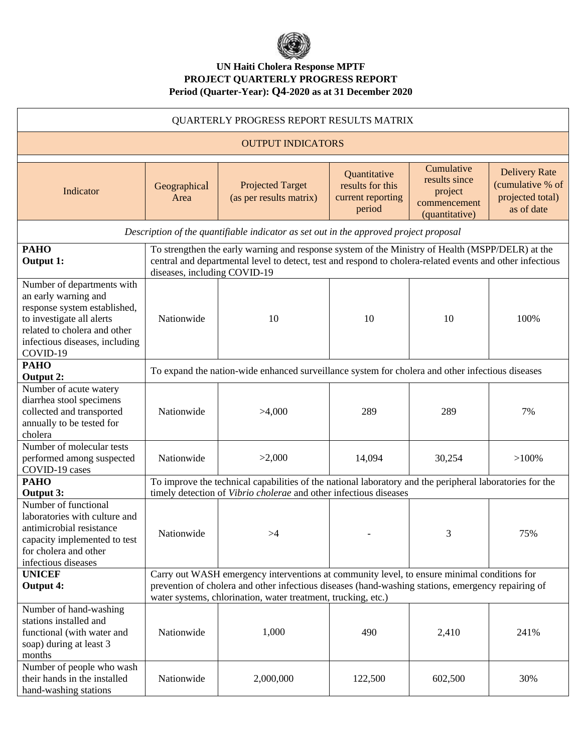

| QUARTERLY PROGRESS REPORT RESULTS MATRIX                                                                                                                                                      |                                                                                                                                                                                                                                               |                                                    |                                                                 |                                                                          |                                                                            |  |  |
|-----------------------------------------------------------------------------------------------------------------------------------------------------------------------------------------------|-----------------------------------------------------------------------------------------------------------------------------------------------------------------------------------------------------------------------------------------------|----------------------------------------------------|-----------------------------------------------------------------|--------------------------------------------------------------------------|----------------------------------------------------------------------------|--|--|
| <b>OUTPUT INDICATORS</b>                                                                                                                                                                      |                                                                                                                                                                                                                                               |                                                    |                                                                 |                                                                          |                                                                            |  |  |
| Indicator                                                                                                                                                                                     | Geographical<br>Area                                                                                                                                                                                                                          | <b>Projected Target</b><br>(as per results matrix) | Quantitative<br>results for this<br>current reporting<br>period | Cumulative<br>results since<br>project<br>commencement<br>(quantitative) | <b>Delivery Rate</b><br>(cumulative % of<br>projected total)<br>as of date |  |  |
| Description of the quantifiable indicator as set out in the approved project proposal                                                                                                         |                                                                                                                                                                                                                                               |                                                    |                                                                 |                                                                          |                                                                            |  |  |
| <b>PAHO</b><br>Output 1:                                                                                                                                                                      | To strengthen the early warning and response system of the Ministry of Health (MSPP/DELR) at the<br>central and departmental level to detect, test and respond to cholera-related events and other infectious<br>diseases, including COVID-19 |                                                    |                                                                 |                                                                          |                                                                            |  |  |
| Number of departments with<br>an early warning and<br>response system established,<br>to investigate all alerts<br>related to cholera and other<br>infectious diseases, including<br>COVID-19 | Nationwide                                                                                                                                                                                                                                    | 10                                                 | 10                                                              | 10                                                                       | 100%                                                                       |  |  |
| <b>PAHO</b><br><b>Output 2:</b>                                                                                                                                                               | To expand the nation-wide enhanced surveillance system for cholera and other infectious diseases                                                                                                                                              |                                                    |                                                                 |                                                                          |                                                                            |  |  |
| Number of acute watery<br>diarrhea stool specimens<br>collected and transported<br>annually to be tested for<br>cholera                                                                       | Nationwide                                                                                                                                                                                                                                    | >4,000                                             | 289                                                             | 289                                                                      | 7%                                                                         |  |  |
| Number of molecular tests<br>performed among suspected<br>COVID-19 cases                                                                                                                      | Nationwide                                                                                                                                                                                                                                    | >2,000                                             | 14,094                                                          | 30,254                                                                   | $>100\%$                                                                   |  |  |
| <b>PAHO</b><br>Output 3:                                                                                                                                                                      | To improve the technical capabilities of the national laboratory and the peripheral laboratories for the<br>timely detection of Vibrio cholerae and other infectious diseases                                                                 |                                                    |                                                                 |                                                                          |                                                                            |  |  |
| Number of functional<br>laboratories with culture and<br>antimicrobial resistance<br>capacity implemented to test<br>for cholera and other<br>infectious diseases                             | Nationwide                                                                                                                                                                                                                                    | >4                                                 |                                                                 | 3                                                                        | 75%                                                                        |  |  |
| Carry out WASH emergency interventions at community level, to ensure minimal conditions for<br><b>UNICEF</b>                                                                                  |                                                                                                                                                                                                                                               |                                                    |                                                                 |                                                                          |                                                                            |  |  |
| <b>Output 4:</b>                                                                                                                                                                              | prevention of cholera and other infectious diseases (hand-washing stations, emergency repairing of<br>water systems, chlorination, water treatment, trucking, etc.)                                                                           |                                                    |                                                                 |                                                                          |                                                                            |  |  |
| Number of hand-washing<br>stations installed and<br>functional (with water and<br>soap) during at least 3<br>months                                                                           | Nationwide                                                                                                                                                                                                                                    | 1,000                                              | 490                                                             | 2,410                                                                    | 241%                                                                       |  |  |
| Number of people who wash<br>their hands in the installed<br>hand-washing stations                                                                                                            | Nationwide                                                                                                                                                                                                                                    | 2,000,000                                          | 122,500                                                         | 602,500                                                                  | 30%                                                                        |  |  |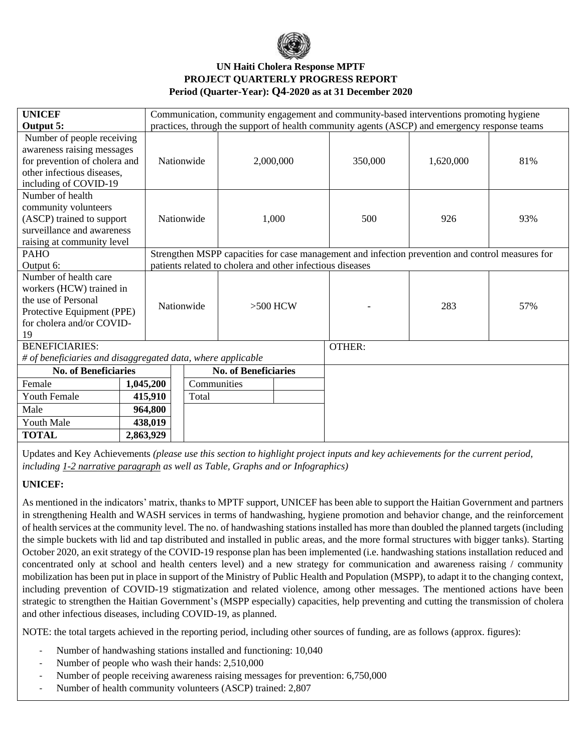

| <b>UNICEF</b>                                               |  | Communication, community engagement and community-based interventions promoting hygiene          |                          |                             |     |               |           |     |
|-------------------------------------------------------------|--|--------------------------------------------------------------------------------------------------|--------------------------|-----------------------------|-----|---------------|-----------|-----|
| Output 5:                                                   |  | practices, through the support of health community agents (ASCP) and emergency response teams    |                          |                             |     |               |           |     |
| Number of people receiving                                  |  |                                                                                                  |                          |                             |     |               |           |     |
| awareness raising messages                                  |  | Nationwide                                                                                       |                          |                             |     |               |           |     |
| for prevention of cholera and                               |  |                                                                                                  |                          | 2,000,000                   |     | 350,000       | 1,620,000 | 81% |
| other infectious diseases.                                  |  |                                                                                                  |                          |                             |     |               |           |     |
| including of COVID-19                                       |  |                                                                                                  |                          |                             |     |               |           |     |
| Number of health                                            |  |                                                                                                  |                          |                             | 500 | 926           | 93%       |     |
| community volunteers                                        |  |                                                                                                  |                          |                             |     |               |           |     |
| (ASCP) trained to support<br>surveillance and awareness     |  |                                                                                                  | Nationwide               | 1,000                       |     |               |           |     |
|                                                             |  |                                                                                                  |                          |                             |     |               |           |     |
| raising at community level<br><b>PAHO</b>                   |  | Strengthen MSPP capacities for case management and infection prevention and control measures for |                          |                             |     |               |           |     |
| Output 6:                                                   |  | patients related to cholera and other infectious diseases                                        |                          |                             |     |               |           |     |
| Number of health care                                       |  |                                                                                                  |                          |                             |     |               |           |     |
| workers (HCW) trained in                                    |  |                                                                                                  |                          |                             |     |               |           |     |
| the use of Personal                                         |  |                                                                                                  |                          |                             |     |               |           |     |
| Protective Equipment (PPE)                                  |  |                                                                                                  | Nationwide<br>$>500$ HCW |                             |     |               | 283       | 57% |
| for cholera and/or COVID-                                   |  |                                                                                                  |                          |                             |     |               |           |     |
| 19                                                          |  |                                                                                                  |                          |                             |     |               |           |     |
| <b>BENEFICIARIES:</b>                                       |  |                                                                                                  |                          |                             |     | <b>OTHER:</b> |           |     |
| # of beneficiaries and disaggregated data, where applicable |  |                                                                                                  |                          |                             |     |               |           |     |
| <b>No. of Beneficiaries</b>                                 |  |                                                                                                  |                          | <b>No. of Beneficiaries</b> |     |               |           |     |
| Female                                                      |  | Communities<br>1,045,200                                                                         |                          |                             |     |               |           |     |
| <b>Youth Female</b>                                         |  | 415,910                                                                                          | Total                    |                             |     |               |           |     |
| Male                                                        |  | 964,800                                                                                          |                          |                             |     |               |           |     |
| Youth Male                                                  |  | 438,019                                                                                          |                          |                             |     |               |           |     |
| <b>TOTAL</b>                                                |  | 2,863,929                                                                                        |                          |                             |     |               |           |     |

Updates and Key Achievements *(please use this section to highlight project inputs and key achievements for the current period, including 1-2 narrative paragraph as well as Table, Graphs and or Infographics)*

### **UNICEF:**

As mentioned in the indicators' matrix, thanks to MPTF support, UNICEF has been able to support the Haitian Government and partners in strengthening Health and WASH services in terms of handwashing, hygiene promotion and behavior change, and the reinforcement of health services at the community level. The no. of handwashing stations installed has more than doubled the planned targets (including the simple buckets with lid and tap distributed and installed in public areas, and the more formal structures with bigger tanks). Starting October 2020, an exit strategy of the COVID-19 response plan has been implemented (i.e. handwashing stations installation reduced and concentrated only at school and health centers level) and a new strategy for communication and awareness raising / community mobilization has been put in place in support of the Ministry of Public Health and Population (MSPP), to adapt it to the changing context, including prevention of COVID-19 stigmatization and related violence, among other messages. The mentioned actions have been strategic to strengthen the Haitian Government's (MSPP especially) capacities, help preventing and cutting the transmission of cholera and other infectious diseases, including COVID-19, as planned.

NOTE: the total targets achieved in the reporting period, including other sources of funding, are as follows (approx. figures):

- Number of handwashing stations installed and functioning: 10,040
- Number of people who wash their hands: 2,510,000
- Number of people receiving awareness raising messages for prevention: 6,750,000
- Number of health community volunteers (ASCP) trained: 2,807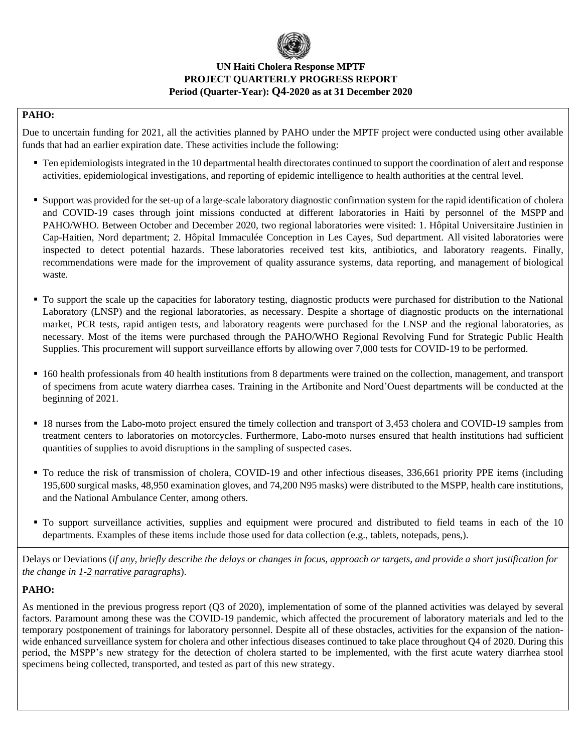

### **PAHO:**

Due to uncertain funding for 2021, all the activities planned by PAHO under the MPTF project were conducted using other available funds that had an earlier expiration date. These activities include the following:

- Ten epidemiologists integrated in the 10 departmental health directorates continued to support the coordination of alert and response activities, epidemiological investigations, and reporting of epidemic intelligence to health authorities at the central level.
- Support was provided for the set-up of a large-scale laboratory diagnostic confirmation system for the rapid identification of cholera and COVID-19 cases through joint missions conducted at different laboratories in Haiti by personnel of the MSPP and PAHO/WHO. Between October and December 2020, two regional laboratories were visited: 1. Hôpital Universitaire Justinien in Cap-Haitien, Nord department; 2. Hôpital Immaculée Conception in Les Cayes, Sud department. All visited laboratories were inspected to detect potential hazards. These laboratories received test kits, antibiotics, and laboratory reagents. Finally, recommendations were made for the improvement of quality assurance systems, data reporting, and management of biological waste.
- To support the scale up the capacities for laboratory testing, diagnostic products were purchased for distribution to the National Laboratory (LNSP) and the regional laboratories, as necessary. Despite a shortage of diagnostic products on the international market, PCR tests, rapid antigen tests, and laboratory reagents were purchased for the LNSP and the regional laboratories, as necessary. Most of the items were purchased through the PAHO/WHO Regional Revolving Fund for Strategic Public Health Supplies. This procurement will support surveillance efforts by allowing over 7,000 tests for COVID-19 to be performed.
- 160 health professionals from 40 health institutions from 8 departments were trained on the collection, management, and transport of specimens from acute watery diarrhea cases. Training in the Artibonite and Nord'Ouest departments will be conducted at the beginning of 2021.
- 18 nurses from the Labo-moto project ensured the timely collection and transport of 3,453 cholera and COVID-19 samples from treatment centers to laboratories on motorcycles. Furthermore, Labo-moto nurses ensured that health institutions had sufficient quantities of supplies to avoid disruptions in the sampling of suspected cases.
- To reduce the risk of transmission of cholera, COVID-19 and other infectious diseases, 336,661 priority PPE items (including 195,600 surgical masks, 48,950 examination gloves, and 74,200 N95 masks) were distributed to the MSPP, health care institutions, and the National Ambulance Center, among others.
- To support surveillance activities, supplies and equipment were procured and distributed to field teams in each of the 10 departments. Examples of these items include those used for data collection (e.g., tablets, notepads, pens,).

Delays or Deviations (*if any, briefly describe the delays or changes in focus, approach or targets, and provide a short justification for the change in 1-2 narrative paragraphs*).

### **PAHO:**

As mentioned in the previous progress report (Q3 of 2020), implementation of some of the planned activities was delayed by several factors. Paramount among these was the COVID-19 pandemic, which affected the procurement of laboratory materials and led to the temporary postponement of trainings for laboratory personnel. Despite all of these obstacles, activities for the expansion of the nationwide enhanced surveillance system for cholera and other infectious diseases continued to take place throughout Q4 of 2020. During this period, the MSPP's new strategy for the detection of cholera started to be implemented, with the first acute watery diarrhea stool specimens being collected, transported, and tested as part of this new strategy.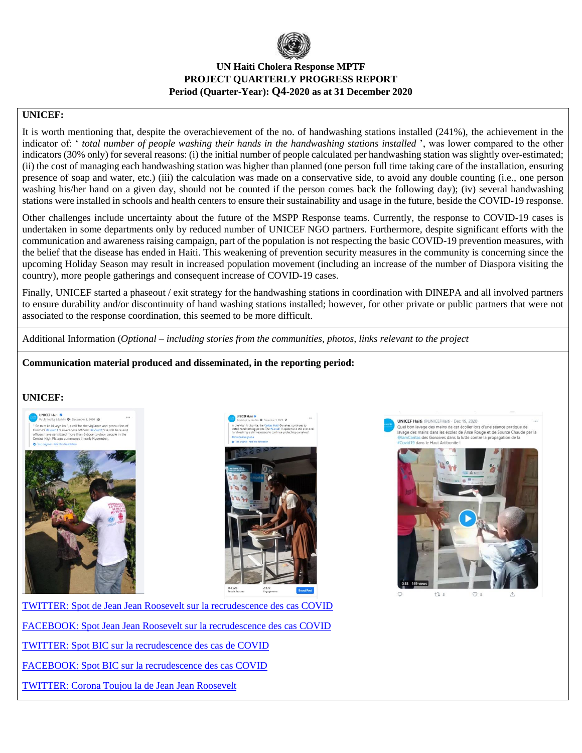

### **UNICEF:**

It is worth mentioning that, despite the overachievement of the no. of handwashing stations installed (241%), the achievement in the indicator of: ' *total number of people washing their hands in the handwashing stations installed* ', was lower compared to the other indicators (30% only) for several reasons: (i) the initial number of people calculated per handwashing station was slightly over-estimated; (ii) the cost of managing each handwashing station was higher than planned (one person full time taking care of the installation, ensuring presence of soap and water, etc.) (iii) the calculation was made on a conservative side, to avoid any double counting (i.e., one person washing his/her hand on a given day, should not be counted if the person comes back the following day); (iv) several handwashing stations were installed in schools and health centers to ensure their sustainability and usage in the future, beside the COVID-19 response.

Other challenges include uncertainty about the future of the MSPP Response teams. Currently, the response to COVID-19 cases is undertaken in some departments only by reduced number of UNICEF NGO partners. Furthermore, despite significant efforts with the communication and awareness raising campaign, part of the population is not respecting the basic COVID-19 prevention measures, with the belief that the disease has ended in Haiti. This weakening of prevention security measures in the community is concerning since the upcoming Holiday Season may result in increased population movement (including an increase of the number of Diaspora visiting the country), more people gatherings and consequent increase of COVID-19 cases.

Finally, UNICEF started a phaseout / exit strategy for the handwashing stations in coordination with DINEPA and all involved partners to ensure durability and/or discontinuity of hand washing stations installed; however, for other private or public partners that were not associated to the response coordination, this seemed to be more difficult.

Additional Information (*Optional – including stories from the communities, photos, links relevant to the project*

### **Communication material produced and disseminated, in the reporting period:**

### **UNICEF:**





**UNICEF Haiti @UNICEFHaiti - Dec 19, 2020** Quel bon lavage des mains de cet écolier lors d'une séance pratiq<br>Quel bon lavage des mains de cet écolier lors d'une séance pratiq s des Gona ves dans la lutte contr 9 dans le Haut Artibonite !



 $t\overline{u}$  s  $\infty$ 

[TWITTER: Spot de Jean Jean Roosevelt sur la recrudescence des cas COVID](https://twitter.com/UNICEFHaiti/status/1339632006146236420) [FACEBOOK: Spot Jean Jean Roosevelt sur la recrudescence des cas COVID](https://fb.watch/3g2QvBwBtq/) [TWITTER: Spot BIC sur la recrudescence des cas de COVID](https://twitter.com/UNICEFHaiti/status/1338113921891397632) [FACEBOOK: Spot BIC sur la recrudescence des cas COVID](https://fb.watch/3g2UNPCQm0/) [TWITTER: Corona Toujou la de Jean Jean Roosevelt](https://twitter.com/UNICEFHaiti/status/1325831377984638976?s=20)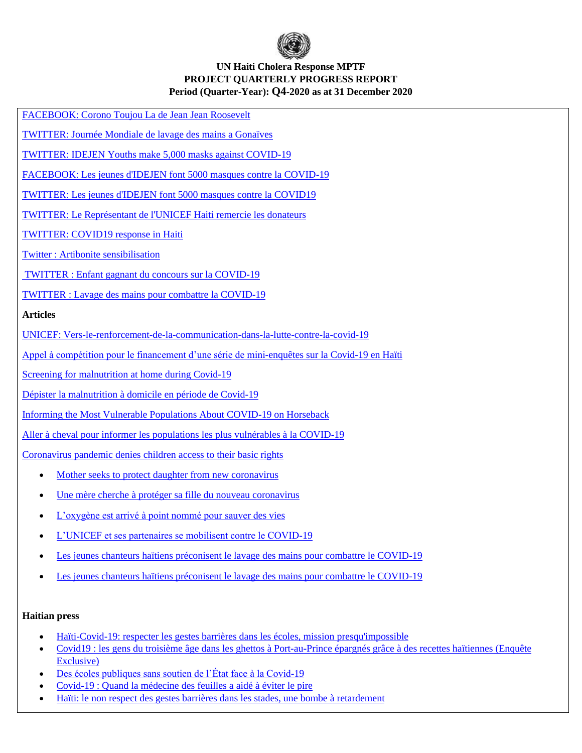

[FACEBOOK: Corono Toujou La de Jean Jean Roosevelt](https://fb.watch/1Y2LPHuglo/)

[TWITTER: Journée Mondiale de lavage des mains a Gonaïves](https://twitter.com/UNICEFHaiti/status/1318680919532863488?s=20)

[TWITTER: IDEJEN Youths make 5,000 masks against COVID-19](https://twitter.com/UNICEFHaiti/status/1313894306122530816?s=20)

[FACEBOOK: Les jeunes d'IDEJEN font 5000 masques contre la COVID-19](https://fb.watch/1Y34skzAVg/)

[TWITTER: Les jeunes d'IDEJEN font 5000 masques contre la COVID19](https://twitter.com/UNICEFHaiti/status/1313894167328808960?s=20)

[TWITTER: Le Représentant de l'UNICEF Haiti remercie les donateurs](https://twitter.com/UNICEFHaiti/status/1308416055350620163?s=20)

[TWITTER: COVID19 response in Haiti](https://twitter.com/BrunoMaesUnicef/status/1306917203422437378?s=20)

Twitter [: Artibonite sensibilisation](https://twitter.com/UNICEFHaiti/status/1347598887075389440)

TWITTER [: Enfant gagnant du concours sur la COVID-19](https://twitter.com/UNICEFHaiti/status/1341397694812708868)

TWITTER [: Lavage des mains pour combattre la COVID-19](https://twitter.com/UNICEFHaiti/status/1340286259470675970)

#### **Articles**

[UNICEF: Vers-le-renforcement-de-la-communication-dans-la-lutte-contre-la-covid-19](https://www.unicef.org/haiti/recits/vers-le-renforcement-de-la-communication-dans-la-lutte-contre-la-covid-19)

[Appel à compétition pour le financement d'une série de mini-enquêtes sur la Covid-19 en Haïti](https://www.unicef.org/haiti/appel-%C3%A0-comp%C3%A9tition-pour-le-financement-dune-s%C3%A9rie-de-mini-enqu%C3%AAtes-sur-la-covid-19-en-ha%C3%AFti)

[Screening for malnutrition at home during Covid-19](https://www.unicef.org/haiti/recits/screening-malnutrition-home-during-covid-19)

[Dépister la malnutrition à domicile en période de Covid-19](https://www.unicef.org/haiti/recits/d%C3%A9pister-la-malnutrition-%C3%A0-domicile-en-p%C3%A9riode-de-covid-19)

[Informing the Most Vulnerable Populations About COVID-19 on Horseback](https://www.unicef.org/haiti/recits/informing-most-vulnerable-populations-about-covid-19-horseback)

[Aller à cheval pour informer les populations les plus vulnérables à la COVID-19](https://www.unicef.org/haiti/recits/aller-%C3%A0-cheval-pour-informer-les-populations-les-plus-vuln%C3%A9rables-%C3%A0-la-covid-19)

[Coronavirus pandemic denies children access to their basic rights](https://www.unicef.org/haiti/recits/coronavirus-pandemic-denies-children-access-their-basic-rights)

- [Mother seeks to protect daughter from new coronavirus](https://www.unicef.org/haiti/recits/mother-seeks-protect-daughter-new-coronavirus)
- [Une mère cherche à protéger sa fille du nouveau coronavirus](https://www.unicef.org/haiti/recits/une-m%C3%A8re-cherche-%C3%A0-prot%C3%A9ger-sa-fille-du-nouveau-coronavirus)
- [L'oxygène est arrivé à point nommé pour sauver des vies](https://www.unicef.org/haiti/recits/loxyg%C3%A8ne-est-arriv%C3%A9-%C3%A0-point-nomm%C3%A9-pour-sauver-des-vies)
- [L'UNICEF et ses partenaires se mobilisent contre le COVID-19](https://www.unicef.org/haiti/recits/lunicef-et-ses-partenaires-se-mobilisent-contre-le-covid-19)
- [Les jeunes chanteurs haïtiens préconisent le lavage des mains pour combattre le COVID-19](https://www.unicef.org/haiti/recits/les-jeunes-chanteurs-ha%C3%AFtiens-pr%C3%A9conisent-le-lavage-des-mains-pour-combattre-le-covid-19)
- [Les jeunes chanteurs haïtiens préconisent le lavage des mains pour combattre le COVID-19](https://www.unicef.org/haiti/recits/les-jeunes-chanteurs-ha%C3%AFtiens-pr%C3%A9conisent-le-lavage-des-mains-pour-combattre-le-covid-19)

#### **Haitian press**

- [Haïti-Covid-19: respecter les gestes barrières dans les écoles, mission presqu'impossible](http://www.loophaiti.com/content/haiti-covid-19-respecter-les-gestes-barrieres-dans-les-ecoles-mission-presquimpossible)
- [Covid19 : les gens du troisième âge dans les ghettos à Port-au-Prince épargnés grâce à des recettes haïtiennes \(Enquête](http://www.hpnhaiti.com/nouvelles/index.php/covid19/8720-covid19-les-gens-du-troisieme-age-dans-les-ghettos-a-port-au-prince-epargnes-grace-a-des-recettes-haitiennes-enquete-exclusive)  [Exclusive\)](http://www.hpnhaiti.com/nouvelles/index.php/covid19/8720-covid19-les-gens-du-troisieme-age-dans-les-ghettos-a-port-au-prince-epargnes-grace-a-des-recettes-haitiennes-enquete-exclusive)
- [Des écoles publiques sans soutien de l'État face à la Covid-19](https://lenouvelliste.com/article/224679/des-ecoles-publiques-sans-soutien-de-letat-face-a-la-covid-19)
- Covid-19 [: Quand la médecine des feuilles a aidé à éviter le pire](https://www.enquetaction.com/articles/covid-19-quand-la-medecine-des-feuilles-a-aide-a-eviter-le-pire)
- [Haïti: le non respect des gestes barrières dans les stades, une bombe à retardement](https://www.loophaiti.com/content/haiti-le-non-respect-des-gestes-barrieres-dans-les-stades-une-bombe-retardement)